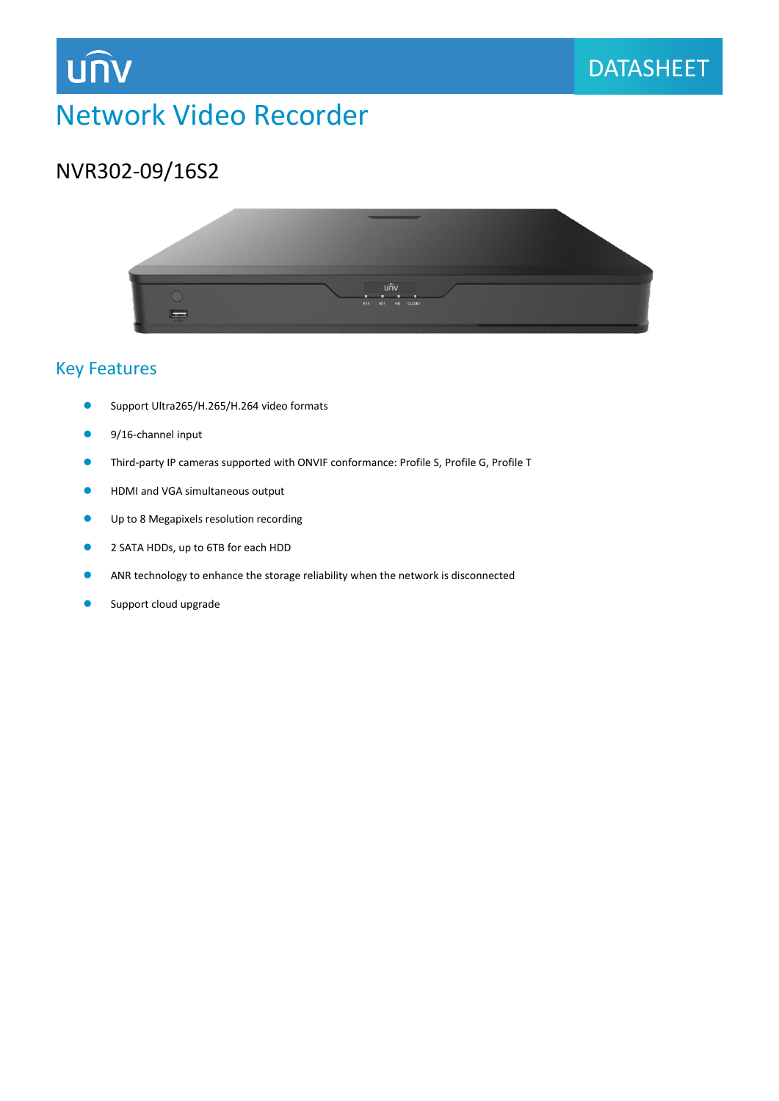

## Network Video Recorder

## NVR302-09/16S2

**UNV** 



#### Key Features

- Support Ultra265/H.265/H.264 video formats
- 9/16-channel input
- Third-party IP cameras supported with ONVIF conformance: Profile S, Profile G, Profile T
- **HDMI and VGA simultaneous output**
- **O** Up to 8 Megapixels resolution recording
- 2 SATA HDDs, up to 6TB for each HDD
- ANR technology to enhance the storage reliability when the network is disconnected
- Support cloud upgrade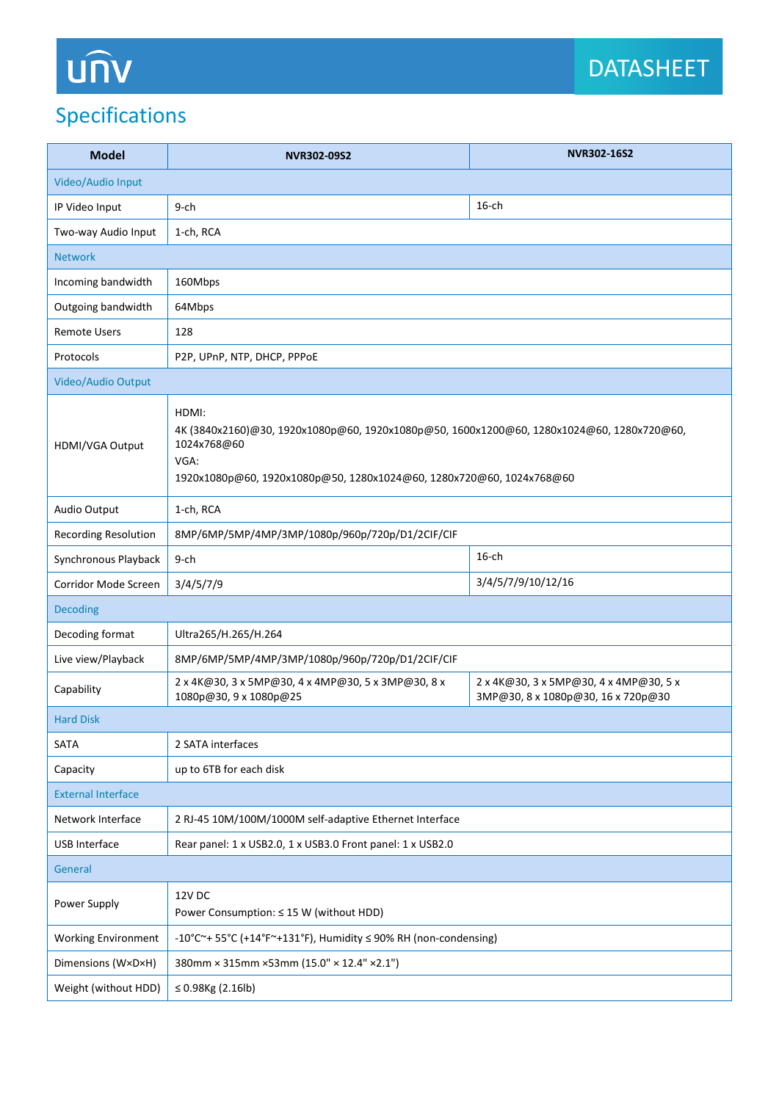# UN

## Specifications

| <b>Model</b>                | NVR302-09S2                                                                                                                                                                                       | NVR302-16S2                                                                  |
|-----------------------------|---------------------------------------------------------------------------------------------------------------------------------------------------------------------------------------------------|------------------------------------------------------------------------------|
| Video/Audio Input           |                                                                                                                                                                                                   |                                                                              |
| IP Video Input              | 9-ch                                                                                                                                                                                              | $16$ -ch                                                                     |
| Two-way Audio Input         | 1-ch, RCA                                                                                                                                                                                         |                                                                              |
| <b>Network</b>              |                                                                                                                                                                                                   |                                                                              |
| Incoming bandwidth          | 160Mbps                                                                                                                                                                                           |                                                                              |
| Outgoing bandwidth          | 64Mbps                                                                                                                                                                                            |                                                                              |
| <b>Remote Users</b>         | 128                                                                                                                                                                                               |                                                                              |
| Protocols                   | P2P, UPnP, NTP, DHCP, PPPoE                                                                                                                                                                       |                                                                              |
| Video/Audio Output          |                                                                                                                                                                                                   |                                                                              |
| HDMI/VGA Output             | HDMI:<br>4K (3840x2160)@30, 1920x1080p@60, 1920x1080p@50, 1600x1200@60, 1280x1024@60, 1280x720@60,<br>1024x768@60<br>VGA:<br>1920x1080p@60, 1920x1080p@50, 1280x1024@60, 1280x720@60, 1024x768@60 |                                                                              |
| Audio Output                | 1-ch, RCA                                                                                                                                                                                         |                                                                              |
| <b>Recording Resolution</b> | 8MP/6MP/5MP/4MP/3MP/1080p/960p/720p/D1/2CIF/CIF                                                                                                                                                   |                                                                              |
| Synchronous Playback        | $9$ -ch                                                                                                                                                                                           | $16$ -ch                                                                     |
| Corridor Mode Screen        | 3/4/5/7/9                                                                                                                                                                                         | 3/4/5/7/9/10/12/16                                                           |
| <b>Decoding</b>             |                                                                                                                                                                                                   |                                                                              |
| Decoding format             | Ultra265/H.265/H.264                                                                                                                                                                              |                                                                              |
| Live view/Playback          | 8MP/6MP/5MP/4MP/3MP/1080p/960p/720p/D1/2CIF/CIF                                                                                                                                                   |                                                                              |
| Capability                  | 2 x 4K@30, 3 x 5MP@30, 4 x 4MP@30, 5 x 3MP@30, 8 x<br>1080p@30, 9 x 1080p@25                                                                                                                      | 2 x 4K@30, 3 x 5MP@30, 4 x 4MP@30, 5 x<br>3MP@30, 8 x 1080p@30, 16 x 720p@30 |
| <b>Hard Disk</b>            |                                                                                                                                                                                                   |                                                                              |
| SATA                        | 2 SATA interfaces                                                                                                                                                                                 |                                                                              |
| Capacity                    | up to 6TB for each disk                                                                                                                                                                           |                                                                              |
| <b>External Interface</b>   |                                                                                                                                                                                                   |                                                                              |
| Network Interface           | 2 RJ-45 10M/100M/1000M self-adaptive Ethernet Interface                                                                                                                                           |                                                                              |
| USB Interface               | Rear panel: 1 x USB2.0, 1 x USB3.0 Front panel: 1 x USB2.0                                                                                                                                        |                                                                              |
| General                     |                                                                                                                                                                                                   |                                                                              |
| Power Supply                | 12V DC<br>Power Consumption: ≤ 15 W (without HDD)                                                                                                                                                 |                                                                              |
| <b>Working Environment</b>  | -10°C~+ 55°C (+14°F~+131°F), Humidity ≤ 90% RH (non-condensing)                                                                                                                                   |                                                                              |
| Dimensions (W×D×H)          | 380mm × 315mm × 53mm (15.0" × 12.4" × 2.1")                                                                                                                                                       |                                                                              |
| Weight (without HDD)        | ≤ 0.98Kg $(2.16lb)$                                                                                                                                                                               |                                                                              |